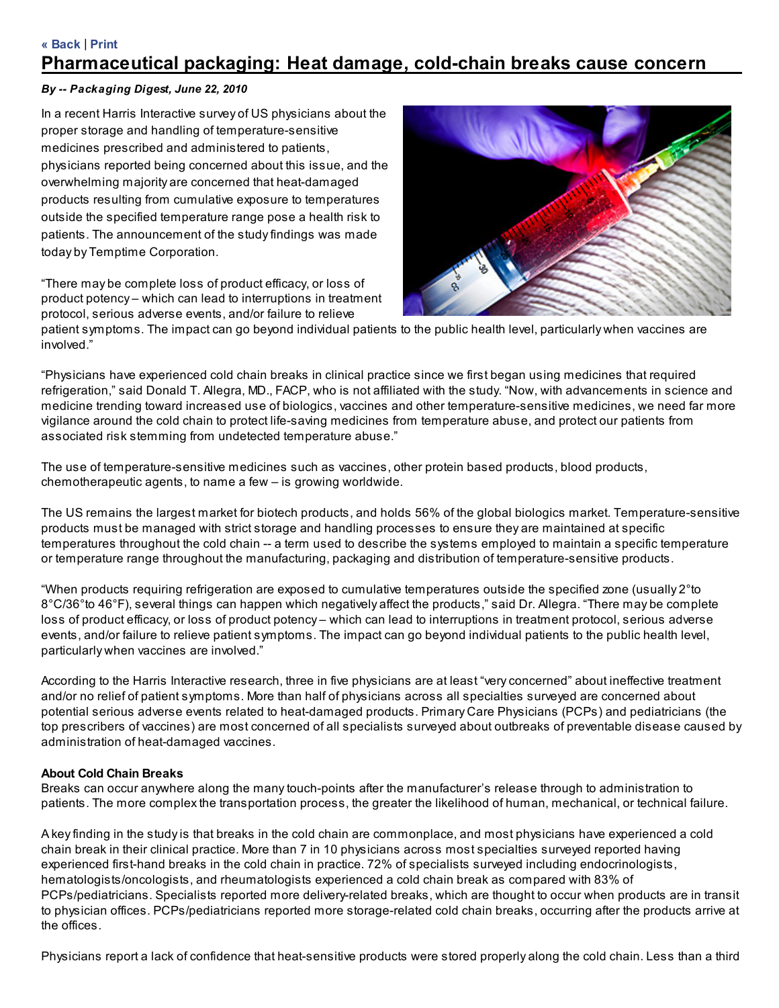# « Back | Print

# Pharmaceutical packaging: Heat damage, cold-chain breaks cause concern

# By -- Packaging Digest, June 22, 2010

In a recent Harris Interactive survey of US physicians about the proper storage and handling of temperature-sensitive medicines prescribed and administered to patients, physicians reported being concerned about this issue, and the overwhelming majority are concerned that heat-damaged products resulting from cumulative exposure to temperatures outside the specified temperature range pose a health risk to patients. The announcement of the study findings was made today by Temptime Corporation.

"There may be complete loss of product efficacy, or loss of product potency – which can lead to interruptions in treatment protocol, serious adverse events, and/or failure to relieve



patient symptoms. The impact can go beyond individual patients to the public health level, particularly when vaccines are involved."

"Physicians have experienced cold chain breaks in clinical practice since we first began using medicines that required refrigeration," said Donald T. Allegra, MD., FACP, who is not affiliated with the study. "Now, with advancements in science and medicine trending toward increased use of biologics, vaccines and other temperature-sensitive medicines, we need far more vigilance around the cold chain to protect life-saving medicines from temperature abuse, and protect our patients from associated risk stemming from undetected temperature abuse."

The use of temperature-sensitive medicines such as vaccines, other protein based products, blood products, chemotherapeutic agents, to name a few – is growing worldwide.

The US remains the largest market for biotech products, and holds 56% of the global biologics market. Temperature-sensitive products must be managed with strict storage and handling processes to ensure they are maintained at specific temperatures throughout the cold chain -- a term used to describe the systems employed to maintain a specific temperature or temperature range throughout the manufacturing, packaging and distribution of temperature-sensitive products.

"When products requiring refrigeration are exposed to cumulative temperatures outside the specified zone (usually 2°to 8°C/36°to 46°F), several things can happen which negatively affect the products," said Dr. Allegra. "There may be complete loss of product efficacy, or loss of product potency – which can lead to interruptions in treatment protocol, serious adverse events, and/or failure to relieve patient symptoms. The impact can go beyond individual patients to the public health level, particularly when vaccines are involved."

According to the Harris Interactive research, three in five physicians are at least "very concerned" about ineffective treatment and/or no relief of patient symptoms. More than half of physicians across all specialties surveyed are concerned about potential serious adverse events related to heat-damaged products. Primary Care Physicians (PCPs) and pediatricians (the top prescribers of vaccines) are most concerned of all specialists surveyed about outbreaks of preventable disease caused by administration of heat-damaged vaccines.

#### About Cold Chain Breaks

Breaks can occur anywhere along the many touch-points after the manufacturer's release through to administration to patients. The more complex the transportation process, the greater the likelihood of human, mechanical, or technical failure.

A key finding in the study is that breaks in the cold chain are commonplace, and most physicians have experienced a cold chain break in their clinical practice. More than 7 in 10 physicians across most specialties surveyed reported having experienced first-hand breaks in the cold chain in practice. 72% of specialists surveyed including endocrinologists, hematologists/oncologists, and rheumatologists experienced a cold chain break as compared with 83% of PCPs/pediatricians. Specialists reported more delivery-related breaks, which are thought to occur when products are in transit to physician offices. PCPs/pediatricians reported more storage-related cold chain breaks, occurring after the products arrive at the offices.

Physicians report a lack of confidence that heat-sensitive products were stored properly along the cold chain. Less than a third